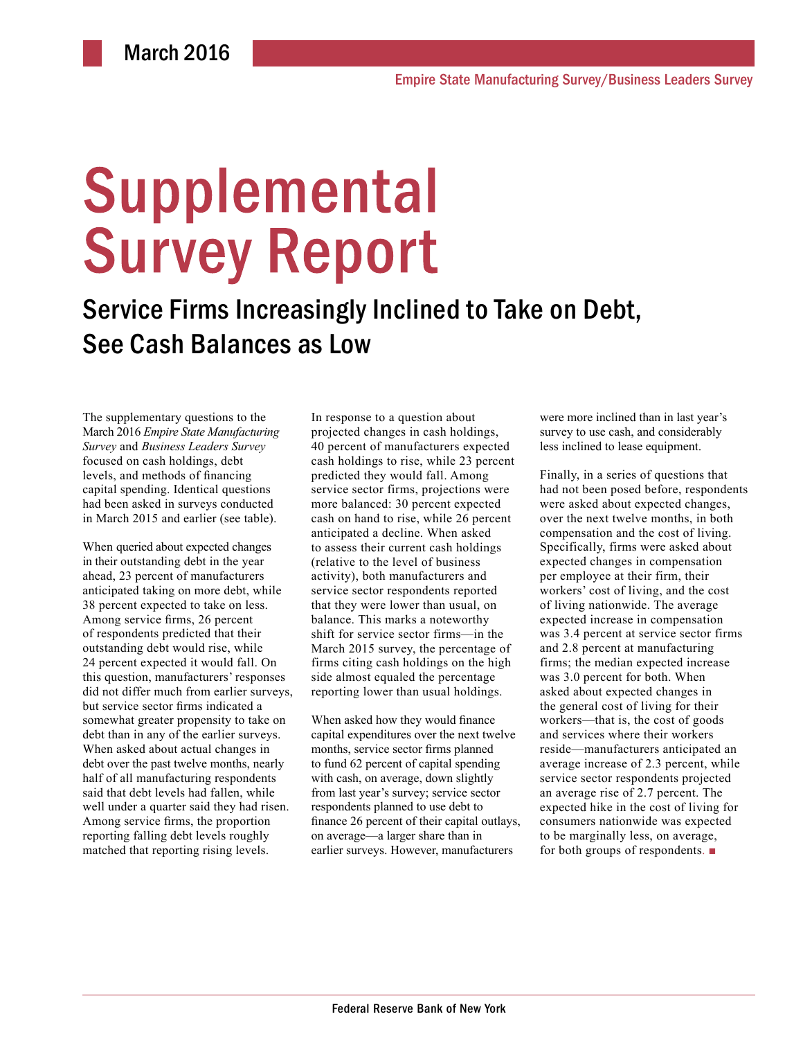# **Supplemental Survey Report**

Service Firms Increasingly Inclined to Take on Debt, See Cash Balances as Low

The supplementary questions to the March 2016 *Empire State Manufacturing Survey* and *Business Leaders Survey* focused on cash holdings, debt levels, and methods of financing capital spending. Identical questions had been asked in surveys conducted in March 2015 and earlier (see table).

When queried about expected changes in their outstanding debt in the year ahead, 23 percent of manufacturers anticipated taking on more debt, while 38 percent expected to take on less. Among service firms, 26 percent of respondents predicted that their outstanding debt would rise, while 24 percent expected it would fall. On this question, manufacturers' responses did not differ much from earlier surveys, but service sector firms indicated a somewhat greater propensity to take on debt than in any of the earlier surveys. When asked about actual changes in debt over the past twelve months, nearly half of all manufacturing respondents said that debt levels had fallen, while well under a quarter said they had risen. Among service firms, the proportion reporting falling debt levels roughly matched that reporting rising levels.

In response to a question about projected changes in cash holdings, 40 percent of manufacturers expected cash holdings to rise, while 23 percent predicted they would fall. Among service sector firms, projections were more balanced: 30 percent expected cash on hand to rise, while 26 percent anticipated a decline. When asked to assess their current cash holdings (relative to the level of business activity), both manufacturers and service sector respondents reported that they were lower than usual, on balance. This marks a noteworthy shift for service sector firms—in the March 2015 survey, the percentage of firms citing cash holdings on the high side almost equaled the percentage reporting lower than usual holdings.

When asked how they would finance capital expenditures over the next twelve months, service sector firms planned to fund 62 percent of capital spending with cash, on average, down slightly from last year's survey; service sector respondents planned to use debt to finance 26 percent of their capital outlays, on average—a larger share than in earlier surveys. However, manufacturers

were more inclined than in last year's survey to use cash, and considerably less inclined to lease equipment.

Finally, in a series of questions that had not been posed before, respondents were asked about expected changes, over the next twelve months, in both compensation and the cost of living. Specifically, firms were asked about expected changes in compensation per employee at their firm, their workers' cost of living, and the cost of living nationwide. The average expected increase in compensation was 3.4 percent at service sector firms and 2.8 percent at manufacturing firms; the median expected increase was 3.0 percent for both. When asked about expected changes in the general cost of living for their workers—that is, the cost of goods and services where their workers reside—manufacturers anticipated an average increase of 2.3 percent, while service sector respondents projected an average rise of 2.7 percent. The expected hike in the cost of living for consumers nationwide was expected to be marginally less, on average, for both groups of respondents. ■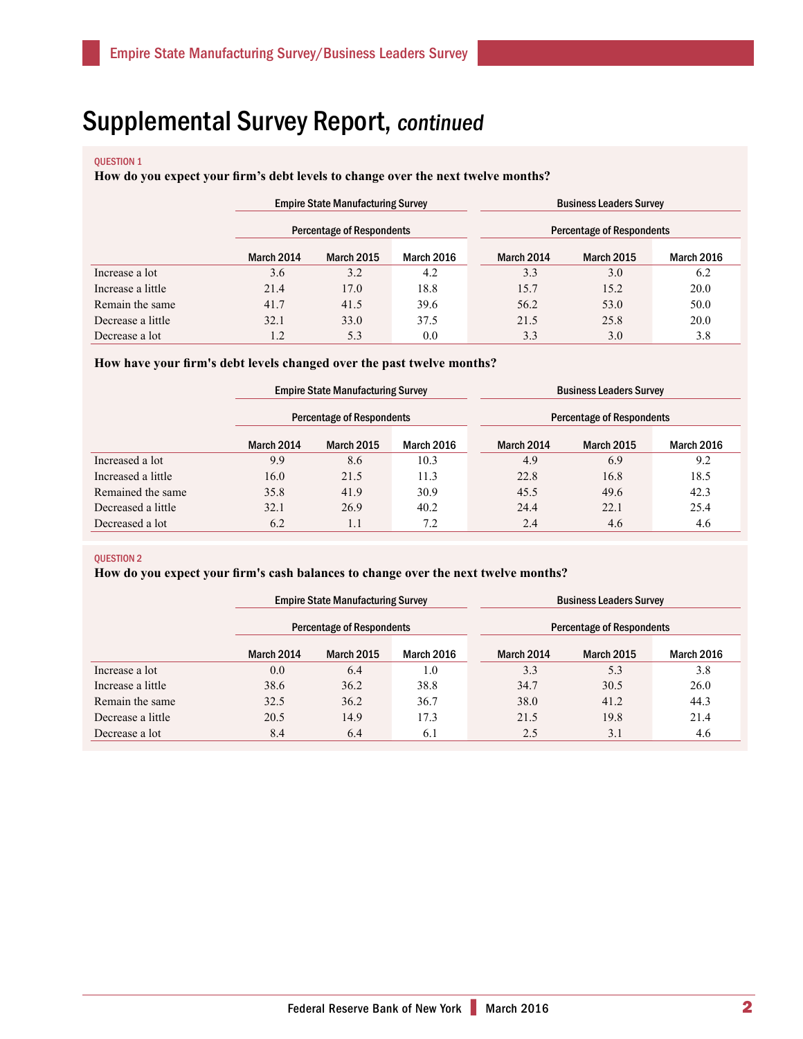# QUESTION 1

## **How do you expect your firm's debt levels to change over the next twelve months?**

|                   | <b>Empire State Manufacturing Survey</b> |                                  |      | <b>Business Leaders Survey</b> |                                  |                   |                   |  |
|-------------------|------------------------------------------|----------------------------------|------|--------------------------------|----------------------------------|-------------------|-------------------|--|
|                   |                                          | <b>Percentage of Respondents</b> |      |                                | <b>Percentage of Respondents</b> |                   |                   |  |
|                   | March 2014                               | <b>March 2015</b><br>March 2016  |      |                                | March 2014                       | <b>March 2015</b> | <b>March 2016</b> |  |
| Increase a lot    | 3.6                                      | 3.2                              | 4.2  |                                | 3.3                              | 3.0               | 6.2               |  |
| Increase a little | 21.4                                     | 17.0                             | 18.8 |                                | 15.7                             | 15.2              | 20.0              |  |
| Remain the same   | 41.7                                     | 41.5                             | 39.6 |                                | 56.2                             | 53.0              | 50.0              |  |
| Decrease a little | 32.1                                     | 33.0                             | 37.5 |                                | 21.5                             | 25.8              | 20.0              |  |
| Decrease a lot    | 1.2                                      | 5.3                              | 0.0  |                                | 3.3                              | 3.0               | 3.8               |  |

## **How have your firm's debt levels changed over the past twelve months?**

|                    | <b>Empire State Manufacturing Survey</b><br><b>Percentage of Respondents</b> |                                        |      |  | <b>Business Leaders Survey</b><br><b>Percentage of Respondents</b> |                   |                   |  |
|--------------------|------------------------------------------------------------------------------|----------------------------------------|------|--|--------------------------------------------------------------------|-------------------|-------------------|--|
|                    |                                                                              |                                        |      |  |                                                                    |                   |                   |  |
|                    | March 2014                                                                   | <b>March 2016</b><br><b>March 2015</b> |      |  | <b>March 2014</b>                                                  | <b>March 2015</b> | <b>March 2016</b> |  |
| Increased a lot    | 9.9                                                                          | 8.6                                    | 10.3 |  | 4.9                                                                | 6.9               | 9.2               |  |
| Increased a little | 16.0                                                                         | 21.5                                   | 11.3 |  | 22.8                                                               | 16.8              | 18.5              |  |
| Remained the same  | 35.8                                                                         | 41.9                                   | 30.9 |  | 45.5                                                               | 49.6              | 42.3              |  |
| Decreased a little | 32.1                                                                         | 26.9                                   | 40.2 |  | 24.4                                                               | 22.1              | 25.4              |  |
| Decreased a lot    | 6.2                                                                          | 1.1                                    | 7.2  |  | 2.4                                                                | 4.6               | 4.6               |  |

#### QUESTION 2

# **How do you expect your firm's cash balances to change over the next twelve months?**

|                   | <b>Empire State Manufacturing Survey</b><br>Percentage of Respondents |                                        |      | <b>Business Leaders Survey</b><br>Percentage of Respondents |                   |                   |                   |
|-------------------|-----------------------------------------------------------------------|----------------------------------------|------|-------------------------------------------------------------|-------------------|-------------------|-------------------|
|                   |                                                                       |                                        |      |                                                             |                   |                   |                   |
|                   | <b>March 2014</b>                                                     | <b>March 2015</b><br><b>March 2016</b> |      |                                                             | <b>March 2014</b> | <b>March 2015</b> | <b>March 2016</b> |
| Increase a lot    | 0.0                                                                   | 6.4                                    | 1.0  |                                                             | 3.3               | 5.3               | 3.8               |
| Increase a little | 38.6                                                                  | 36.2                                   | 38.8 |                                                             | 34.7              | 30.5              | 26.0              |
| Remain the same   | 32.5                                                                  | 36.2                                   | 36.7 |                                                             | 38.0              | 41.2              | 44.3              |
| Decrease a little | 20.5                                                                  | 14.9                                   | 17.3 |                                                             | 21.5              | 19.8              | 21.4              |
| Decrease a lot    | 8.4                                                                   | 6.4                                    | 6.1  |                                                             | 2.5               | 3.1               | 4.6               |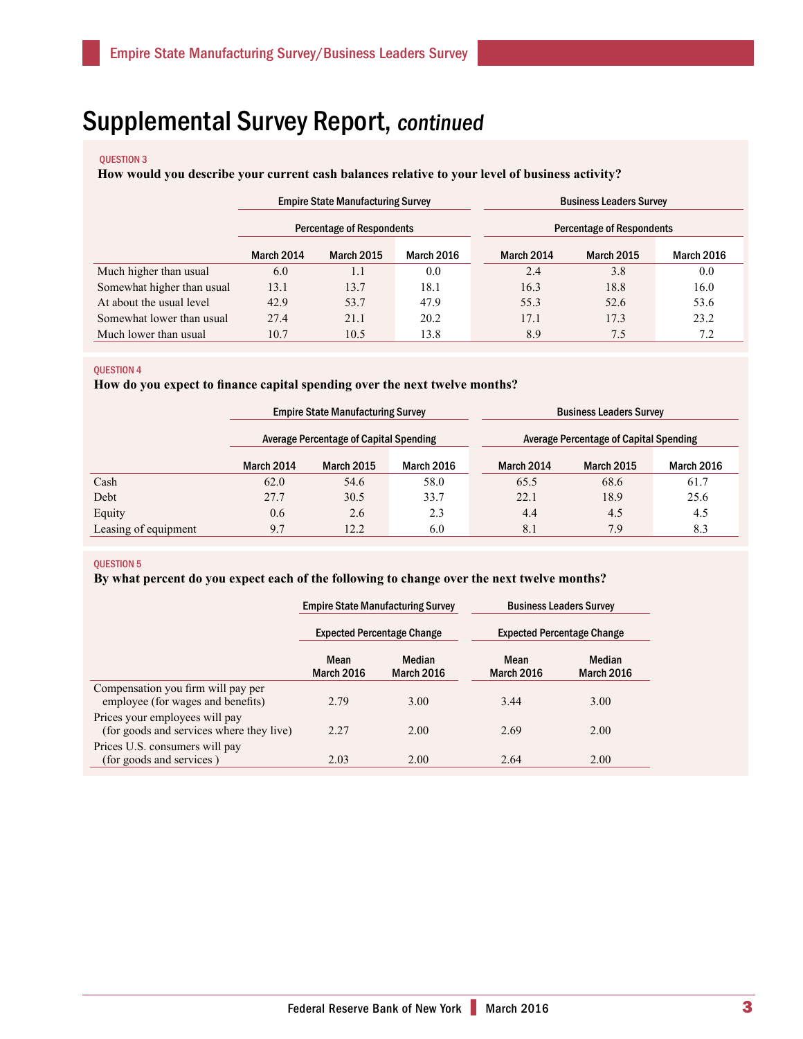#### QUESTION 3

# **How would you describe your current cash balances relative to your level of business activity?**

|                            | <b>Empire State Manufacturing Survey</b><br>Percentage of Respondents |                                        |      | <b>Business Leaders Survey</b> |                           |                   |                   |
|----------------------------|-----------------------------------------------------------------------|----------------------------------------|------|--------------------------------|---------------------------|-------------------|-------------------|
|                            |                                                                       |                                        |      |                                | Percentage of Respondents |                   |                   |
|                            | March 2014                                                            | <b>March 2015</b><br><b>March 2016</b> |      |                                | March 2014                | <b>March 2015</b> | <b>March 2016</b> |
| Much higher than usual     | 6.0                                                                   | 1.1                                    | 0.0  |                                | 2.4                       | 3.8               | 0.0               |
| Somewhat higher than usual | 13.1                                                                  | 13.7                                   | 18.1 |                                | 16.3                      | 18.8              | 16.0              |
| At about the usual level   | 42.9                                                                  | 53.7                                   | 47.9 |                                | 55.3                      | 52.6              | 53.6              |
| Somewhat lower than usual  | 27.4                                                                  | 21.1                                   | 20.2 |                                | 17.1                      | 17.3              | 23.2              |
| Much lower than usual      | 10.7                                                                  | 10.5                                   | 13.8 |                                | 8.9                       | 7.5               | 7.2               |

#### QUESTION 4

# **How do you expect to finance capital spending over the next twelve months?**

|                      | <b>Empire State Manufacturing Survey</b> |                                               |      | <b>Business Leaders Survey</b> |                                               |                   |  |  |
|----------------------|------------------------------------------|-----------------------------------------------|------|--------------------------------|-----------------------------------------------|-------------------|--|--|
|                      |                                          | <b>Average Percentage of Capital Spending</b> |      |                                | <b>Average Percentage of Capital Spending</b> |                   |  |  |
|                      | March 2014                               | <b>March 2015</b><br><b>March 2016</b>        |      | <b>March 2014</b>              | <b>March 2015</b>                             | <b>March 2016</b> |  |  |
| Cash                 | 62.0                                     | 54.6                                          | 58.0 | 65.5                           | 68.6                                          | 61.7              |  |  |
| Debt                 | 27.7                                     | 30.5                                          | 33.7 | 22.1                           | 18.9                                          | 25.6              |  |  |
| Equity               | 0.6                                      | 2.6                                           | 2.3  | 4.4                            | 4.5                                           | 4.5               |  |  |
| Leasing of equipment | 9.7                                      | 12.2                                          |      | 8.1                            | 7.9                                           | 8.3               |  |  |

#### QUESTION 5

## **By what percent do you expect each of the following to change over the next twelve months?**

|                                                                            |                           | <b>Empire State Manufacturing Survey</b> |                                   | <b>Business Leaders Survey</b> |  |
|----------------------------------------------------------------------------|---------------------------|------------------------------------------|-----------------------------------|--------------------------------|--|
|                                                                            |                           | <b>Expected Percentage Change</b>        | <b>Expected Percentage Change</b> |                                |  |
|                                                                            | Mean<br><b>March 2016</b> | Median<br>March 2016                     | Mean<br>March 2016                | Median<br><b>March 2016</b>    |  |
| Compensation you firm will pay per<br>employee (for wages and benefits)    | 2.79                      | 3.00                                     | 3.44                              | 3.00                           |  |
| Prices your employees will pay<br>(for goods and services where they live) | 2.27                      | 2.00                                     | 2.69                              | 2.00                           |  |
| Prices U.S. consumers will pay<br>(for goods and services)                 | 2.03                      | 2.00                                     | 2.64                              | 2.00                           |  |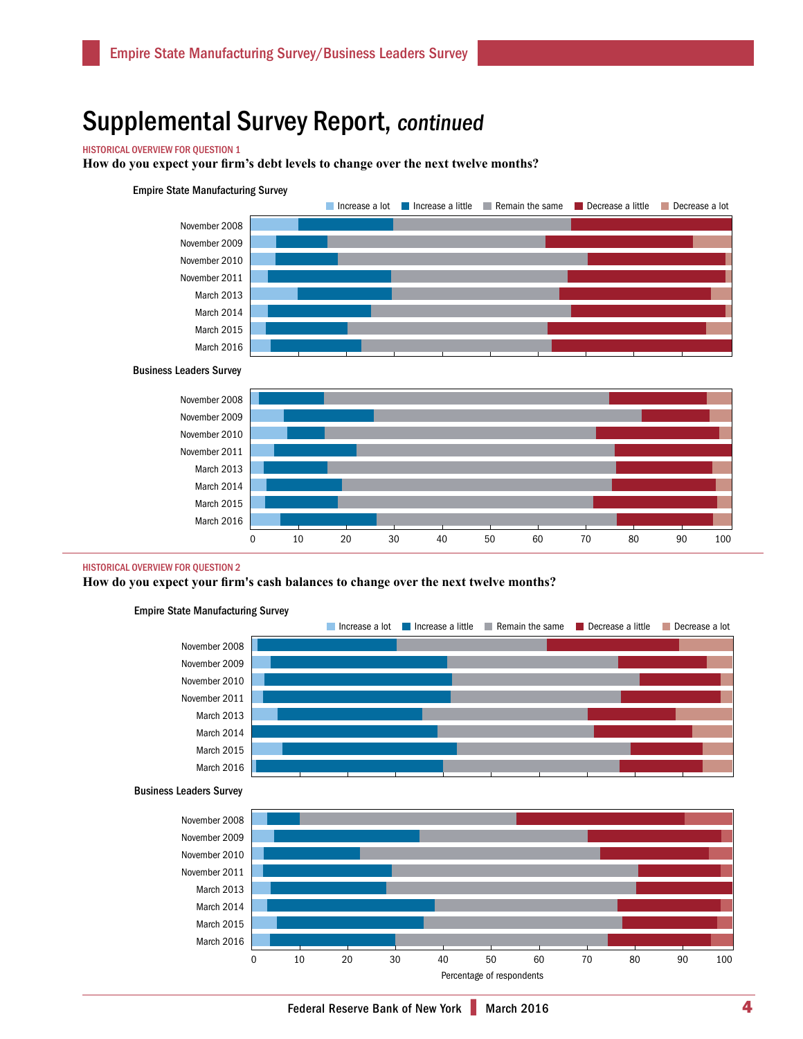## HISTORICAL OVERVIEW FOR QUESTION 1

**How do you expect your firm's debt levels to change over the next twelve months?** 

#### Empire State Manufacturing Survey







#### HISTORICAL OVERVIEW FOR QUESTION 2

**How do you expect your firm's cash balances to change over the next twelve months?**